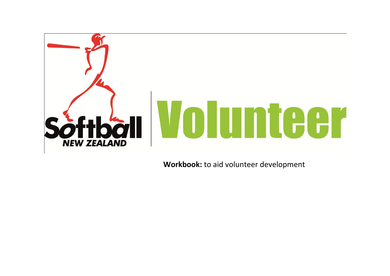

 **Workbook:** to aid volunteer development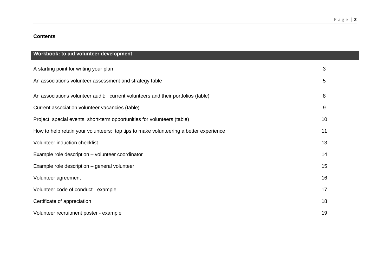# P a g e | **2**

## **Contents**

| Workbook: to aid volunteer development                                                |    |
|---------------------------------------------------------------------------------------|----|
| A starting point for writing your plan                                                | 3  |
| An associations volunteer assessment and strategy table                               | 5  |
| An associations volunteer audit: current volunteers and their portfolios (table)      | 8  |
| Current association volunteer vacancies (table)                                       | 9  |
| Project, special events, short-term opportunities for volunteers (table)              | 10 |
| How to help retain your volunteers: top tips to make volunteering a better experience | 11 |
| Volunteer induction checklist                                                         | 13 |
| Example role description - volunteer coordinator                                      | 14 |
| Example role description - general volunteer                                          | 15 |
| Volunteer agreement                                                                   | 16 |
| Volunteer code of conduct - example                                                   | 17 |
| Certificate of appreciation                                                           | 18 |
| Volunteer recruitment poster - example                                                | 19 |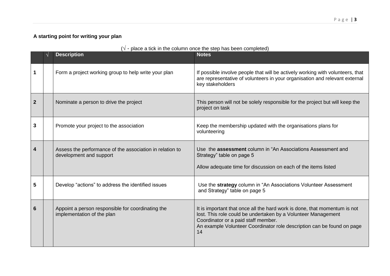# **A starting point for writing your plan**

|                  | $(\sqrt{\ }$ - place a tick in the column once the step has been completed) |                                                                                     |                                                                                                                                                                                                                                                                   |  |  |  |
|------------------|-----------------------------------------------------------------------------|-------------------------------------------------------------------------------------|-------------------------------------------------------------------------------------------------------------------------------------------------------------------------------------------------------------------------------------------------------------------|--|--|--|
|                  |                                                                             | <b>Description</b>                                                                  | <b>Notes</b>                                                                                                                                                                                                                                                      |  |  |  |
|                  |                                                                             | Form a project working group to help write your plan                                | If possible involve people that will be actively working with volunteers, that<br>are representative of volunteers in your organisation and relevant external<br>key stakeholders                                                                                 |  |  |  |
| $\boldsymbol{2}$ |                                                                             | Nominate a person to drive the project                                              | This person will not be solely responsible for the project but will keep the<br>project on task                                                                                                                                                                   |  |  |  |
| 3                |                                                                             | Promote your project to the association                                             | Keep the membership updated with the organisations plans for<br>volunteering                                                                                                                                                                                      |  |  |  |
| 4                |                                                                             | Assess the performance of the association in relation to<br>development and support | Use the <b>assessment</b> column in "An Associations Assessment and<br>Strategy" table on page 5<br>Allow adequate time for discussion on each of the items listed                                                                                                |  |  |  |
| 5                |                                                                             | Develop "actions" to address the identified issues                                  | Use the strategy column in "An Associations Volunteer Assessment<br>and Strategy" table on page 5                                                                                                                                                                 |  |  |  |
| 6                |                                                                             | Appoint a person responsible for coordinating the<br>implementation of the plan     | It is important that once all the hard work is done, that momentum is not<br>lost. This role could be undertaken by a Volunteer Management<br>Coordinator or a paid staff member.<br>An example Volunteer Coordinator role description can be found on page<br>14 |  |  |  |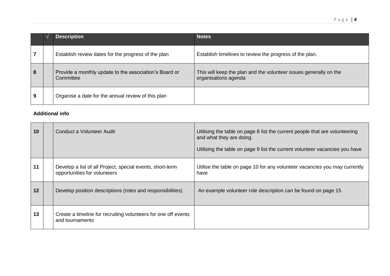|   | <b>Description</b>                                                  | <b>Notes</b>                                                                              |
|---|---------------------------------------------------------------------|-------------------------------------------------------------------------------------------|
|   | Establish review dates for the progress of the plan                 | Establish timelines to review the progress of the plan.                                   |
| 8 | Provide a monthly update to the association's Board or<br>Committee | This will keep the plan and the volunteer issues generally on the<br>organisations agenda |
| 9 | Organise a date for the annual review of this plan                  |                                                                                           |

# **Additional info**

| 10 | Conduct a Volunteer Audit                                                                 | Utilising the table on page 8 list the current people that are volunteering<br>and what they are doing.<br>Utilising the table on page 9 list the current volunteer vacancies you have |
|----|-------------------------------------------------------------------------------------------|----------------------------------------------------------------------------------------------------------------------------------------------------------------------------------------|
| 11 | Develop a list of all Project, special events, short-term<br>opportunities for volunteers | Utilise the table on page 10 for any volunteer vacancies you may currently<br>have                                                                                                     |
| 12 | Develop position descriptions (roles and responsibilities)                                | An example volunteer role description can be found on page 15                                                                                                                          |
| 13 | Create a timeline for recruiting volunteers for one off events<br>and tournaments         |                                                                                                                                                                                        |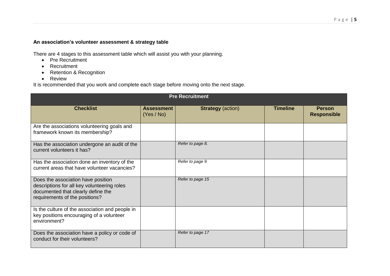## **An association's volunteer assessment & strategy table**

There are 4 stages to this assessment table which will assist you with your planning.

- Pre Recruitment
- Recruitment
- Retention & Recognition
- Review

It is recommended that you work and complete each stage before moving onto the next stage.

| <b>Pre Recruitment</b>                                                                                                                                    |                                 |                          |                 |                                     |  |
|-----------------------------------------------------------------------------------------------------------------------------------------------------------|---------------------------------|--------------------------|-----------------|-------------------------------------|--|
| <b>Checklist</b>                                                                                                                                          | <b>Assessment</b><br>(Yes / No) | <b>Strategy (action)</b> | <b>Timeline</b> | <b>Person</b><br><b>Responsible</b> |  |
| Are the associations volunteering goals and<br>framework known its membership?                                                                            |                                 |                          |                 |                                     |  |
| Has the association undergone an audit of the<br>current volunteers it has?                                                                               |                                 | Refer to page 8.         |                 |                                     |  |
| Has the association done an inventory of the<br>current areas that have volunteer vacancies?                                                              |                                 | Refer to page 9          |                 |                                     |  |
| Does the association have position<br>descriptions for all key volunteering roles<br>documented that clearly define the<br>requirements of the positions? |                                 | Refer to page 15         |                 |                                     |  |
| Is the culture of the association and people in<br>key positions encouraging of a volunteer<br>environment?                                               |                                 |                          |                 |                                     |  |
| Does the association have a policy or code of<br>conduct for their volunteers?                                                                            |                                 | Refer to page 17         |                 |                                     |  |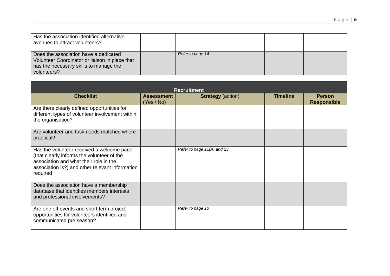| Has the association identified alternative<br>avenues to attract volunteers?                                                                     |                  |  |
|--------------------------------------------------------------------------------------------------------------------------------------------------|------------------|--|
| Does the association have a dedicated<br>Volunteer Coordinator or liaison in place that<br>has the necessary skills to manage the<br>volunteers? | Refer to page 14 |  |

| <b>Recruitment</b>                                                                                                                                                                               |                                 |                            |                 |                                     |  |
|--------------------------------------------------------------------------------------------------------------------------------------------------------------------------------------------------|---------------------------------|----------------------------|-----------------|-------------------------------------|--|
| <b>Checklist</b>                                                                                                                                                                                 | <b>Assessment</b><br>(Yes / No) | <b>Strategy</b> (action)   | <b>Timeline</b> | <b>Person</b><br><b>Responsible</b> |  |
| Are there clearly defined opportunities for<br>different types of volunteer involvement within<br>the organisation?                                                                              |                                 |                            |                 |                                     |  |
| Are volunteer and task needs matched where<br>practical?                                                                                                                                         |                                 |                            |                 |                                     |  |
| Has the volunteer received a welcome pack<br>(that clearly informs the volunteer of the<br>association and what their role in the<br>association is?) and other relevant information<br>required |                                 | Refer to page 11(A) and 13 |                 |                                     |  |
| Does the association have a membership<br>database that identifies members interests<br>and professional involvements?                                                                           |                                 |                            |                 |                                     |  |
| Are one off events and short term project<br>opportunities for volunteers identified and<br>communicated pre season?                                                                             |                                 | Refer to page 10           |                 |                                     |  |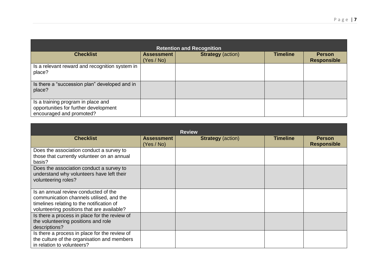| <b>Retention and Recognition</b>                                                                        |                                 |                          |                 |                                     |  |
|---------------------------------------------------------------------------------------------------------|---------------------------------|--------------------------|-----------------|-------------------------------------|--|
| <b>Checklist</b>                                                                                        | <b>Assessment</b><br>(Yes / No) | <b>Strategy (action)</b> | <b>Timeline</b> | <b>Person</b><br><b>Responsible</b> |  |
| Is a relevant reward and recognition system in<br>place?                                                |                                 |                          |                 |                                     |  |
| Is there a "succession plan" developed and in<br>place?                                                 |                                 |                          |                 |                                     |  |
| Is a training program in place and<br>opportunities for further development<br>encouraged and promoted? |                                 |                          |                 |                                     |  |

|                                                                                                                                                                             |                                 | <b>Review</b>            |                 |                                     |
|-----------------------------------------------------------------------------------------------------------------------------------------------------------------------------|---------------------------------|--------------------------|-----------------|-------------------------------------|
| <b>Checklist</b>                                                                                                                                                            | <b>Assessment</b><br>(Yes / No) | <b>Strategy</b> (action) | <b>Timeline</b> | <b>Person</b><br><b>Responsible</b> |
| Does the association conduct a survey to<br>those that currently volunteer on an annual<br>basis?                                                                           |                                 |                          |                 |                                     |
| Does the association conduct a survey to<br>understand why volunteers have left their<br>volunteering roles?                                                                |                                 |                          |                 |                                     |
| Is an annual review conducted of the<br>communication channels utilised, and the<br>timelines relating to the notification of<br>volunteering positions that are available? |                                 |                          |                 |                                     |
| Is there a process in place for the review of<br>the volunteering positions and role<br>descriptions?                                                                       |                                 |                          |                 |                                     |
| Is there a process in place for the review of<br>the culture of the organisation and members<br>in relation to volunteers?                                                  |                                 |                          |                 |                                     |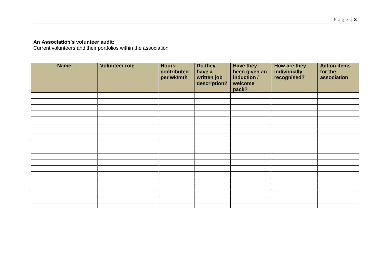## **An Association's volunteer audit:**

Current volunteers and their portfolios within the association

| <b>Name</b> | <b>Volunteer role</b> | <b>Hours</b><br>contributed<br>per wk/mth | Do they<br>have a<br>written job<br>description? | <b>Have they</b><br>been given an<br>induction /<br>welcome<br>pack? | How are they<br>individually<br>recognised? | <b>Action items</b><br>for the<br>association |
|-------------|-----------------------|-------------------------------------------|--------------------------------------------------|----------------------------------------------------------------------|---------------------------------------------|-----------------------------------------------|
|             |                       |                                           |                                                  |                                                                      |                                             |                                               |
|             |                       |                                           |                                                  |                                                                      |                                             |                                               |
|             |                       |                                           |                                                  |                                                                      |                                             |                                               |
|             |                       |                                           |                                                  |                                                                      |                                             |                                               |
|             |                       |                                           |                                                  |                                                                      |                                             |                                               |
|             |                       |                                           |                                                  |                                                                      |                                             |                                               |
|             |                       |                                           |                                                  |                                                                      |                                             |                                               |
|             |                       |                                           |                                                  |                                                                      |                                             |                                               |
|             |                       |                                           |                                                  |                                                                      |                                             |                                               |
|             |                       |                                           |                                                  |                                                                      |                                             |                                               |
|             |                       |                                           |                                                  |                                                                      |                                             |                                               |
|             |                       |                                           |                                                  |                                                                      |                                             |                                               |
|             |                       |                                           |                                                  |                                                                      |                                             |                                               |
|             |                       |                                           |                                                  |                                                                      |                                             |                                               |
|             |                       |                                           |                                                  |                                                                      |                                             |                                               |
|             |                       |                                           |                                                  |                                                                      |                                             |                                               |
|             |                       |                                           |                                                  |                                                                      |                                             |                                               |
|             |                       |                                           |                                                  |                                                                      |                                             |                                               |
|             |                       |                                           |                                                  |                                                                      |                                             |                                               |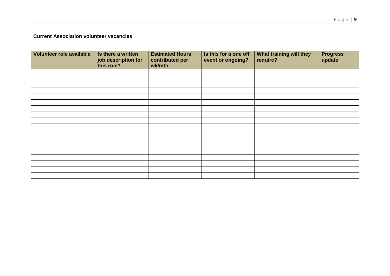# **Current Association volunteer vacancies**

| Volunteer role available | Is there a written<br>job description for<br>this role? | <b>Estimated Hours</b><br>contributed per<br>wk/mth | Is this for a one off<br>event or ongoing? | What training will they<br>require? | <b>Progress</b><br>update |
|--------------------------|---------------------------------------------------------|-----------------------------------------------------|--------------------------------------------|-------------------------------------|---------------------------|
|                          |                                                         |                                                     |                                            |                                     |                           |
|                          |                                                         |                                                     |                                            |                                     |                           |
|                          |                                                         |                                                     |                                            |                                     |                           |
|                          |                                                         |                                                     |                                            |                                     |                           |
|                          |                                                         |                                                     |                                            |                                     |                           |
|                          |                                                         |                                                     |                                            |                                     |                           |
|                          |                                                         |                                                     |                                            |                                     |                           |
|                          |                                                         |                                                     |                                            |                                     |                           |
|                          |                                                         |                                                     |                                            |                                     |                           |
|                          |                                                         |                                                     |                                            |                                     |                           |
|                          |                                                         |                                                     |                                            |                                     |                           |
|                          |                                                         |                                                     |                                            |                                     |                           |
|                          |                                                         |                                                     |                                            |                                     |                           |
|                          |                                                         |                                                     |                                            |                                     |                           |
|                          |                                                         |                                                     |                                            |                                     |                           |
|                          |                                                         |                                                     |                                            |                                     |                           |
|                          |                                                         |                                                     |                                            |                                     |                           |
|                          |                                                         |                                                     |                                            |                                     |                           |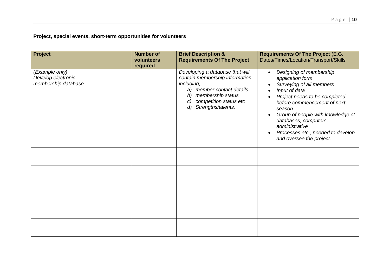**Project, special events, short-term opportunities for volunteers**

| Project                                                     | <b>Number of</b><br>volunteers<br>required | <b>Brief Description &amp;</b><br><b>Requirements Of The Project</b>                                                                                                                                           | <b>Requirements Of The Project (E.G.</b><br>Dates/Times/Location/Transport/Skills                                                                                                                                                                                                                                                |
|-------------------------------------------------------------|--------------------------------------------|----------------------------------------------------------------------------------------------------------------------------------------------------------------------------------------------------------------|----------------------------------------------------------------------------------------------------------------------------------------------------------------------------------------------------------------------------------------------------------------------------------------------------------------------------------|
| (Example only)<br>Develop electronic<br>membership database |                                            | Developing a database that will<br>contain membership information<br>including,<br>a) member contact details<br>membership status<br>b)<br>competition status etc<br>C)<br>Strengths/talents.<br>$\mathcal{d}$ | Designing of membership<br>$\bullet$<br>application form<br>Surveying of all members<br>Input of data<br>Project needs to be completed<br>before commencement of next<br>season<br>Group of people with knowledge of<br>databases, computers,<br>administrative<br>Processes etc., needed to develop<br>and oversee the project. |
|                                                             |                                            |                                                                                                                                                                                                                |                                                                                                                                                                                                                                                                                                                                  |
|                                                             |                                            |                                                                                                                                                                                                                |                                                                                                                                                                                                                                                                                                                                  |
|                                                             |                                            |                                                                                                                                                                                                                |                                                                                                                                                                                                                                                                                                                                  |
|                                                             |                                            |                                                                                                                                                                                                                |                                                                                                                                                                                                                                                                                                                                  |
|                                                             |                                            |                                                                                                                                                                                                                |                                                                                                                                                                                                                                                                                                                                  |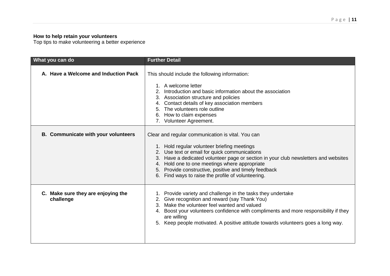#### **How to help retain your volunteers**

Top tips to make volunteering a better experience

| What you can do                                 | <b>Further Detail</b>                                                                                                                                                                                                                                                                                                                                                                                    |
|-------------------------------------------------|----------------------------------------------------------------------------------------------------------------------------------------------------------------------------------------------------------------------------------------------------------------------------------------------------------------------------------------------------------------------------------------------------------|
| A. Have a Welcome and Induction Pack            | This should include the following information:<br>1. A welcome letter<br>Introduction and basic information about the association<br>3. Association structure and policies<br>4. Contact details of key association members<br>5. The volunteers role outline<br>6. How to claim expenses<br>7. Volunteer Agreement.                                                                                     |
| <b>B.</b> Communicate with your volunteers      | Clear and regular communication is vital. You can<br>1. Hold regular volunteer briefing meetings<br>2. Use text or email for quick communications<br>3. Have a dedicated volunteer page or section in your club newsletters and websites<br>4. Hold one to one meetings where appropriate<br>5. Provide constructive, positive and timely feedback<br>6. Find ways to raise the profile of volunteering. |
| C. Make sure they are enjoying the<br>challenge | 1. Provide variety and challenge in the tasks they undertake<br>2. Give recognition and reward (say Thank You)<br>3. Make the volunteer feel wanted and valued<br>4. Boost your volunteers confidence with compliments and more responsibility if they<br>are willing<br>5. Keep people motivated. A positive attitude towards volunteers goes a long way.                                               |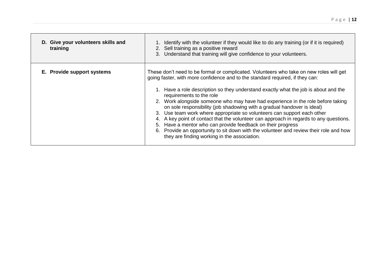| D. Give your volunteers skills and<br>training | Identify with the volunteer if they would like to do any training (or if it is required)<br>Sell training as a positive reward<br>2.<br>Understand that training will give confidence to your volunteers.<br>3.                                                                                                                                                                                                                                                                                                                                                                                                                                                                                                                                                                                                                         |
|------------------------------------------------|-----------------------------------------------------------------------------------------------------------------------------------------------------------------------------------------------------------------------------------------------------------------------------------------------------------------------------------------------------------------------------------------------------------------------------------------------------------------------------------------------------------------------------------------------------------------------------------------------------------------------------------------------------------------------------------------------------------------------------------------------------------------------------------------------------------------------------------------|
| E. Provide support systems                     | These don't need to be formal or complicated. Volunteers who take on new roles will get<br>going faster, with more confidence and to the standard required, if they can:<br>1. Have a role description so they understand exactly what the job is about and the<br>requirements to the role<br>2. Work alongside someone who may have had experience in the role before taking<br>on sole responsibility (job shadowing with a gradual handover is ideal)<br>3. Use team work where appropriate so volunteers can support each other<br>4. A key point of contact that the volunteer can approach in regards to any questions.<br>5. Have a mentor who can provide feedback on their progress<br>6. Provide an opportunity to sit down with the volunteer and review their role and how<br>they are finding working in the association. |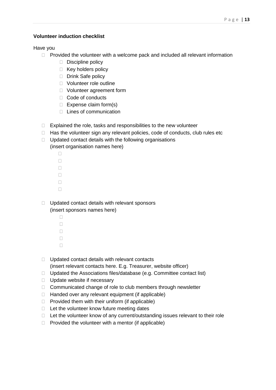### **Volunteer induction checklist**

Have you

- $\Box$  Provided the volunteer with a welcome pack and included all relevant information
	- $\Box$  Discipline policy
	- $\Box$  Key holders policy
	- Drink Safe policy
	- □ Volunteer role outline
	- □ Volunteer agreement form
	- □ Code of conducts
	- $\Box$  Expense claim form(s)
	- $\Box$  Lines of communication
- $\Box$  Explained the role, tasks and responsibilities to the new volunteer
- $\Box$  Has the volunteer sign any relevant policies, code of conducts, club rules etc
- $\Box$  Updated contact details with the following organisations (insert organisation names here)
	- $\Box$  $\Box$  $\Box$  $\Box$  $\Box$  $\Box$
- $\Box$  Updated contact details with relevant sponsors (insert sponsors names here)
	- $\Box$  $\Box$  $\Box$  $\Box$  $\Box$
- $\Box$  Updated contact details with relevant contacts
- (insert relevant contacts here. E.g. Treasurer, website officer)
- $\Box$  Updated the Associations files/database (e.g. Committee contact list)
- $\Box$  Update website if necessary
- □ Communicated change of role to club members through newsletter
- $\Box$  Handed over any relevant equipment (if applicable)
- $\Box$  Provided them with their uniform (if applicable)
- $\Box$  Let the volunteer know future meeting dates
- $\Box$  Let the volunteer know of any current/outstanding issues relevant to their role
- $\Box$  Provided the volunteer with a mentor (if applicable)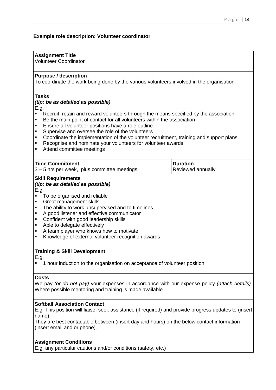## **Example role description: Volunteer coordinator**

#### **Assignment Title**

Volunteer Coordinator

#### **Purpose / description**

To coordinate the work being done by the various volunteers involved in the organisation.

#### **Tasks**

#### *(tip: be as detailed as possible)*

E.g.

- Recruit, retain and reward volunteers through the means specified by the association
- Be the main point of contact for all volunteers within the association
- **Ensure all volunteer positions have a role outline**
- **Supervise and oversee the role of the volunteers**
- Coordinate the implementation of the volunteer recruitment, training and support plans.
- **Recognise and nominate your volunteers for volunteer awards**
- **Attend committee meetings**

| Time Commitment                             | ∣Duration         |
|---------------------------------------------|-------------------|
| 3 – 5 hrs per week, plus committee meetings | Reviewed annually |

#### **Skill Requirements** *(tip: be as detailed as possible)*

E.g.

- To be organised and reliable<br>Creat management skills
- Great management skills
- The ability to work unsupervised and to timelines
- A good listener and effective communicator
- **•** Confident with good leadership skills
- Able to delegate effectively
- A team player who knows how to motivate<br>Knowledge of external volunteer recognition
- Knowledge of external volunteer recognition awards

#### **Training & Skill Development**

E.g.

<sup>1</sup> 1 hour induction to the organisation on acceptance of volunteer position

#### **Costs**

We pay *(or do not pay)* your expenses in accordance with our expense policy *(attach details).* Where possible mentoring and training is made available

#### **Softball Association Contact**

E.g. This position will liaise, seek assistance (if required) and provide progress updates to (insert name)

They are best contactable between (insert day and hours) on the below contact information (insert email and or phone).

#### **Assignment Conditions**

E.g. any particular cautions and/or conditions (safety, etc.)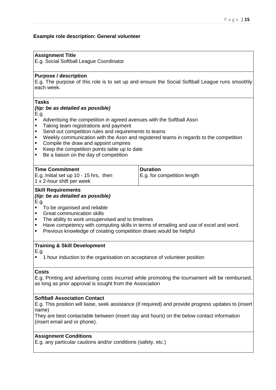## **Example role description: General volunteer**

#### **Assignment Title**

E.g. Social Softball League Coordinator

#### **Purpose / description**

E.g. The purpose of this role is to set up and ensure the Social Softball League runs smoothly each week.

#### **Tasks**

#### *(tip: be as detailed as possible)*

E.g.

- Advertising the competition in agreed avenues with the Softball Assn
- Taking team registrations and payment
- **Send out competition rules and requirements to teams**
- Weekly communication with the Assn and registered teams in regards to the competition
- Compile the draw and appoint umpires
- Keep the competition points table up to date<br>  $\blacksquare$  Be a ligison on the day of competition
- Be a liaison on the day of competition

| <b>Time Commitment</b>                | Duration                    |
|---------------------------------------|-----------------------------|
| E.g. Initial set up 10 - 15 hrs, then | E.g. for competition length |
| 1 x 2-hour shift per week             |                             |

#### **Skill Requirements**

# *(tip: be as detailed as possible)*

E.g.

- To be organised and reliable
- Great communication skills
- The ability to work unsupervised and to timelines
- Have competency with computing skills in terms of emailing and use of excel and word.<br>• Previous knowledge of creating competition draws would be beloful
- Previous knowledge of creating competition draws would be helpful

#### **Training & Skill Development**

E.g.

1 hour induction to the organisation on acceptance of volunteer position

#### **Costs**

E.g. Printing and advertising costs incurred while promoting the tournament will be reimbursed, as long as prior approval is sought from the Association

#### **Softball Association Contact**

E.g. This position will liaise, seek assistance (if required) and provide progress updates to (insert name)

They are best contactable between (insert day and hours) on the below contact information (insert email and or phone).

#### **Assignment Conditions**

E.g. any particular cautions and/or conditions (safety, etc.)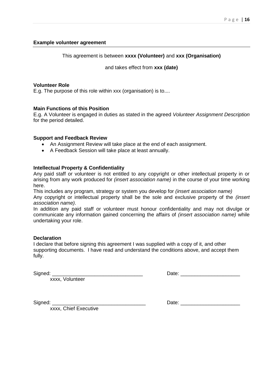#### **Example volunteer agreement**

#### This agreement is between **xxxx (Volunteer)** and **xxx (Organisation)**

and takes effect from **xxx (date)**

#### **Volunteer Role**

E.g. The purpose of this role within xxx (organisation) is to....

#### **Main Functions of this Position**

E.g. A Volunteer is engaged in duties as stated in the agreed *Volunteer Assignment Description* for the period detailed.

#### **Support and Feedback Review**

- An Assignment Review will take place at the end of each assignment.
- A Feedback Session will take place at least annually.

#### **Intellectual Property & Confidentiality**

Any paid staff or volunteer is not entitled to any copyright or other intellectual property in or arising from any work produced for *(insert association name)* in the course of your time working here.

This includes any program, strategy or system you develop for *(insert association name)*

Any copyright or intellectual property shall be the sole and exclusive property of the *(insert association name)*.

In addition any paid staff or volunteer must honour confidentiality and may not divulge or communicate any information gained concerning the affairs of *(insert association name)* while undertaking your role.

#### **Declaration**

I declare that before signing this agreement I was supplied with a copy of it, and other supporting documents. I have read and understand the conditions above, and accept them fully.

Signed:

xxxx, Volunteer

xxxx, Chief Executive

Signed: \_\_\_\_\_\_\_\_\_\_\_\_\_\_\_\_\_\_\_\_\_\_\_\_\_\_\_\_\_\_\_\_\_ Date: \_\_\_\_\_\_\_\_\_\_\_\_\_\_\_\_\_\_\_\_\_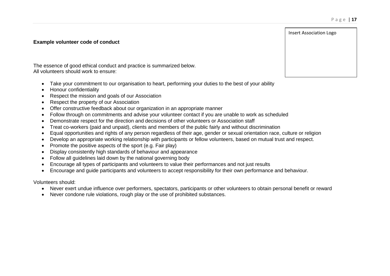Insert Association Logo

#### **Example volunteer code of conduct**

The essence of good ethical conduct and practice is summarized below. All volunteers should work to ensure:

- Take your commitment to our organisation to heart, performing your duties to the best of your ability
- Honour confidentiality
- Respect the mission and goals of our Association
- Respect the property of our Association
- Offer constructive feedback about our organization in an appropriate manner
- Follow through on commitments and advise your volunteer contact if you are unable to work as scheduled
- Demonstrate respect for the direction and decisions of other volunteers or Association staff
- Treat co-workers (paid and unpaid), clients and members of the public fairly and without discrimination
- Equal opportunities and rights of any person regardless of their age, gender or sexual orientation race, culture or religion
- Develop an appropriate working relationship with participants or fellow volunteers, based on mutual trust and respect.
- Promote the positive aspects of the sport (e.g. Fair play)
- Display consistently high standards of behaviour and appearance
- Follow all guidelines laid down by the national governing body
- Encourage all types of participants and volunteers to value their performances and not just results
- Encourage and guide participants and volunteers to accept responsibility for their own performance and behaviour.

Volunteers should:

- Never exert undue influence over performers, spectators, participants or other volunteers to obtain personal benefit or reward
- Never condone rule violations, rough play or the use of prohibited substances.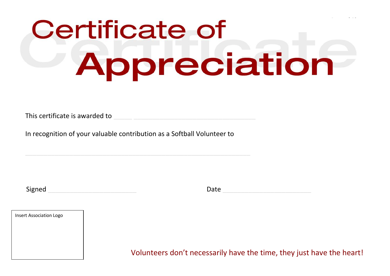# P a g e | **18 Certificate of** Appreciation

This certificate is awarded to

In recognition of your valuable contribution as a Softball Volunteer to

 $\_$  , and the set of the set of the set of the set of the set of the set of the set of the set of the set of the set of the set of the set of the set of the set of the set of the set of the set of the set of the set of th

Signed \_\_\_\_\_\_\_\_\_\_\_\_\_\_\_\_\_\_\_\_\_\_\_\_ Date \_\_\_\_\_\_\_\_\_\_\_\_\_\_\_\_\_\_\_\_\_\_\_\_



Volunteers don't necessarily have the time, they just have the heart!